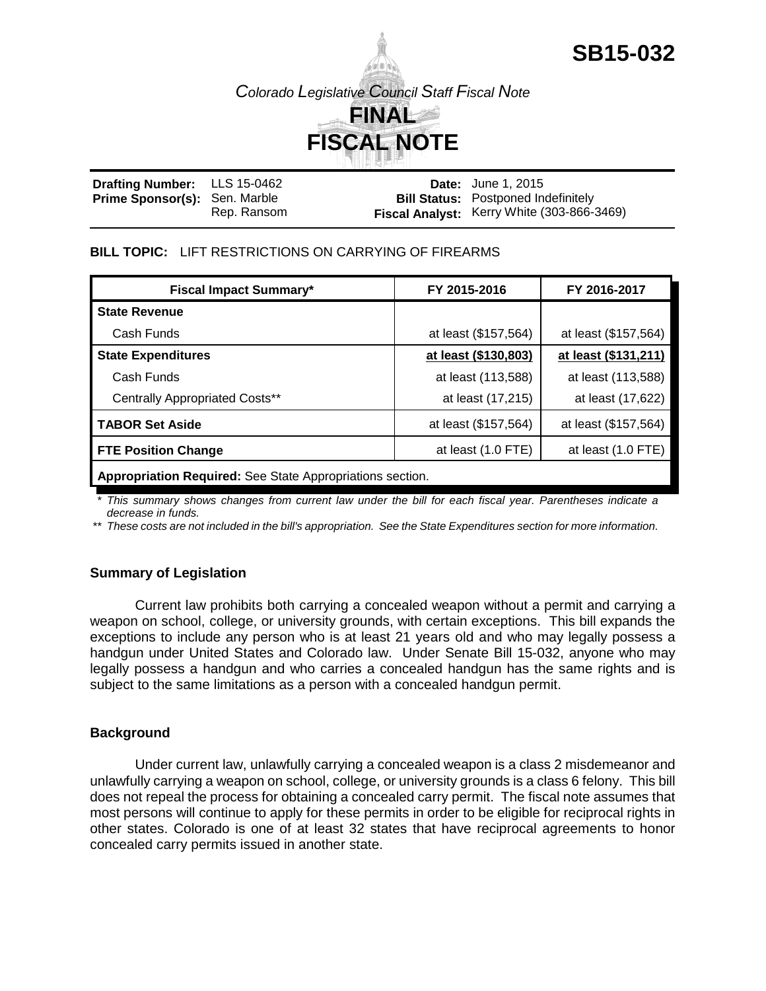**SB15-032**

*Colorado Legislative Council Staff Fiscal Note*



| <b>Drafting Number:</b> LLS 15-0462  |             | <b>Date:</b> June 1, 2015                  |
|--------------------------------------|-------------|--------------------------------------------|
| <b>Prime Sponsor(s): Sen. Marble</b> |             | <b>Bill Status: Postponed Indefinitely</b> |
|                                      | Rep. Ransom | Fiscal Analyst: Kerry White (303-866-3469) |

#### **BILL TOPIC:** LIFT RESTRICTIONS ON CARRYING OF FIREARMS

| <b>Fiscal Impact Summary*</b>                             | FY 2015-2016         | FY 2016-2017         |  |  |
|-----------------------------------------------------------|----------------------|----------------------|--|--|
| <b>State Revenue</b>                                      |                      |                      |  |  |
| Cash Funds                                                | at least (\$157,564) | at least (\$157,564) |  |  |
| <b>State Expenditures</b>                                 | at least (\$130,803) | at least (\$131,211) |  |  |
| Cash Funds                                                | at least (113,588)   | at least (113,588)   |  |  |
| <b>Centrally Appropriated Costs**</b>                     | at least (17,215)    | at least (17,622)    |  |  |
| TABOR Set Aside                                           | at least (\$157,564) | at least (\$157,564) |  |  |
| <b>FTE Position Change</b>                                | at least $(1.0$ FTE) | at least (1.0 FTE)   |  |  |
| Appropriation Required: See State Appropriations section. |                      |                      |  |  |

*\* This summary shows changes from current law under the bill for each fiscal year. Parentheses indicate a decrease in funds.*

*\*\* These costs are not included in the bill's appropriation. See the State Expenditures section for more information.*

#### **Summary of Legislation**

Current law prohibits both carrying a concealed weapon without a permit and carrying a weapon on school, college, or university grounds, with certain exceptions. This bill expands the exceptions to include any person who is at least 21 years old and who may legally possess a handgun under United States and Colorado law. Under Senate Bill 15-032, anyone who may legally possess a handgun and who carries a concealed handgun has the same rights and is subject to the same limitations as a person with a concealed handgun permit.

#### **Background**

Under current law, unlawfully carrying a concealed weapon is a class 2 misdemeanor and unlawfully carrying a weapon on school, college, or university grounds is a class 6 felony. This bill does not repeal the process for obtaining a concealed carry permit. The fiscal note assumes that most persons will continue to apply for these permits in order to be eligible for reciprocal rights in other states. Colorado is one of at least 32 states that have reciprocal agreements to honor concealed carry permits issued in another state.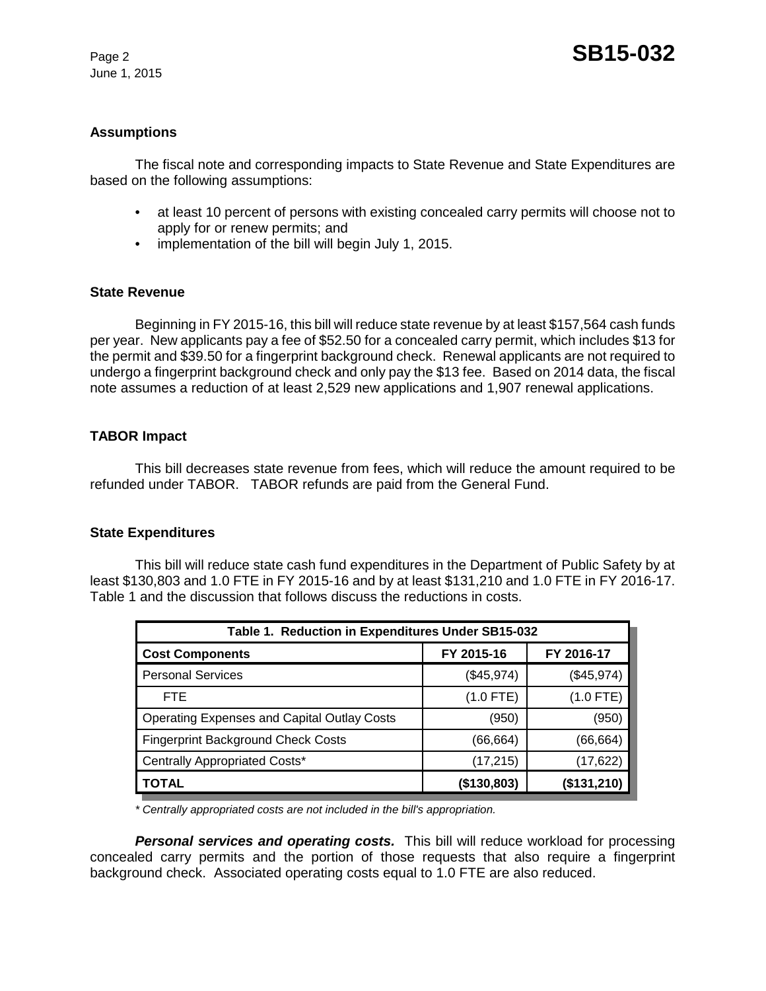June 1, 2015

#### **Assumptions**

The fiscal note and corresponding impacts to State Revenue and State Expenditures are based on the following assumptions:

- at least 10 percent of persons with existing concealed carry permits will choose not to apply for or renew permits; and
- implementation of the bill will begin July 1, 2015.

## **State Revenue**

Beginning in FY 2015-16, this bill will reduce state revenue by at least \$157,564 cash funds per year. New applicants pay a fee of \$52.50 for a concealed carry permit, which includes \$13 for the permit and \$39.50 for a fingerprint background check. Renewal applicants are not required to undergo a fingerprint background check and only pay the \$13 fee. Based on 2014 data, the fiscal note assumes a reduction of at least 2,529 new applications and 1,907 renewal applications.

## **TABOR Impact**

This bill decreases state revenue from fees, which will reduce the amount required to be refunded under TABOR. TABOR refunds are paid from the General Fund.

#### **State Expenditures**

This bill will reduce state cash fund expenditures in the Department of Public Safety by at least \$130,803 and 1.0 FTE in FY 2015-16 and by at least \$131,210 and 1.0 FTE in FY 2016-17. Table 1 and the discussion that follows discuss the reductions in costs.

| Table 1. Reduction in Expenditures Under SB15-032  |             |             |  |  |  |
|----------------------------------------------------|-------------|-------------|--|--|--|
| <b>Cost Components</b>                             | FY 2015-16  | FY 2016-17  |  |  |  |
| <b>Personal Services</b>                           | (\$45,974)  | (\$45,974)  |  |  |  |
| <b>FTE</b>                                         | $(1.0$ FTE) | $(1.0$ FTE) |  |  |  |
| <b>Operating Expenses and Capital Outlay Costs</b> | (950)       | (950)       |  |  |  |
| <b>Fingerprint Background Check Costs</b>          | (66,664)    | (66, 664)   |  |  |  |
| Centrally Appropriated Costs*                      | (17, 215)   | (17, 622)   |  |  |  |
| <b>TOTAL</b>                                       | (\$130,803) | (\$131,210) |  |  |  |

*\* Centrally appropriated costs are not included in the bill's appropriation.*

*Personal services and operating costs.* This bill will reduce workload for processing concealed carry permits and the portion of those requests that also require a fingerprint background check. Associated operating costs equal to 1.0 FTE are also reduced.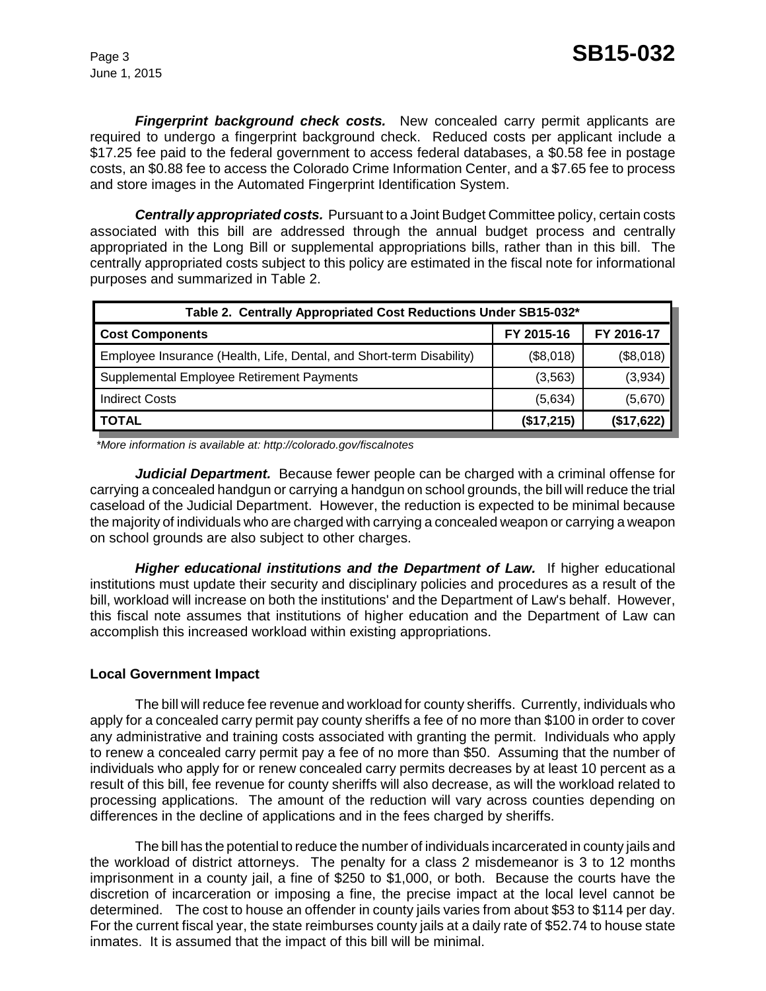June 1, 2015

*Fingerprint background check costs.* New concealed carry permit applicants are required to undergo a fingerprint background check. Reduced costs per applicant include a \$17.25 fee paid to the federal government to access federal databases, a \$0.58 fee in postage costs, an \$0.88 fee to access the Colorado Crime Information Center, and a \$7.65 fee to process and store images in the Automated Fingerprint Identification System.

*Centrally appropriated costs.* Pursuant to a Joint Budget Committee policy, certain costs associated with this bill are addressed through the annual budget process and centrally appropriated in the Long Bill or supplemental appropriations bills, rather than in this bill. The centrally appropriated costs subject to this policy are estimated in the fiscal note for informational purposes and summarized in Table 2.

| Table 2. Centrally Appropriated Cost Reductions Under SB15-032*      |            |            |  |  |  |
|----------------------------------------------------------------------|------------|------------|--|--|--|
| <b>Cost Components</b>                                               | FY 2015-16 | FY 2016-17 |  |  |  |
| Employee Insurance (Health, Life, Dental, and Short-term Disability) | (\$8,018)  | (\$8,018)  |  |  |  |
| Supplemental Employee Retirement Payments                            | (3, 563)   | (3,934)    |  |  |  |
| <b>Indirect Costs</b>                                                | (5,634)    | (5,670)    |  |  |  |
| <b>TOTAL</b>                                                         | (\$17,215) | (\$17,622) |  |  |  |

 *\*More information is available at: http://colorado.gov/fiscalnotes*

*Judicial Department.* Because fewer people can be charged with a criminal offense for carrying a concealed handgun or carrying a handgun on school grounds, the bill will reduce the trial caseload of the Judicial Department. However, the reduction is expected to be minimal because the majority of individuals who are charged with carrying a concealed weapon or carrying a weapon on school grounds are also subject to other charges.

*Higher educational institutions and the Department of Law.* If higher educational institutions must update their security and disciplinary policies and procedures as a result of the bill, workload will increase on both the institutions' and the Department of Law's behalf. However, this fiscal note assumes that institutions of higher education and the Department of Law can accomplish this increased workload within existing appropriations.

#### **Local Government Impact**

The bill will reduce fee revenue and workload for county sheriffs. Currently, individuals who apply for a concealed carry permit pay county sheriffs a fee of no more than \$100 in order to cover any administrative and training costs associated with granting the permit. Individuals who apply to renew a concealed carry permit pay a fee of no more than \$50. Assuming that the number of individuals who apply for or renew concealed carry permits decreases by at least 10 percent as a result of this bill, fee revenue for county sheriffs will also decrease, as will the workload related to processing applications. The amount of the reduction will vary across counties depending on differences in the decline of applications and in the fees charged by sheriffs.

The bill has the potential to reduce the number of individuals incarcerated in county jails and the workload of district attorneys. The penalty for a class 2 misdemeanor is 3 to 12 months imprisonment in a county jail, a fine of \$250 to \$1,000, or both. Because the courts have the discretion of incarceration or imposing a fine, the precise impact at the local level cannot be determined. The cost to house an offender in county jails varies from about \$53 to \$114 per day. For the current fiscal year, the state reimburses county jails at a daily rate of \$52.74 to house state inmates. It is assumed that the impact of this bill will be minimal.